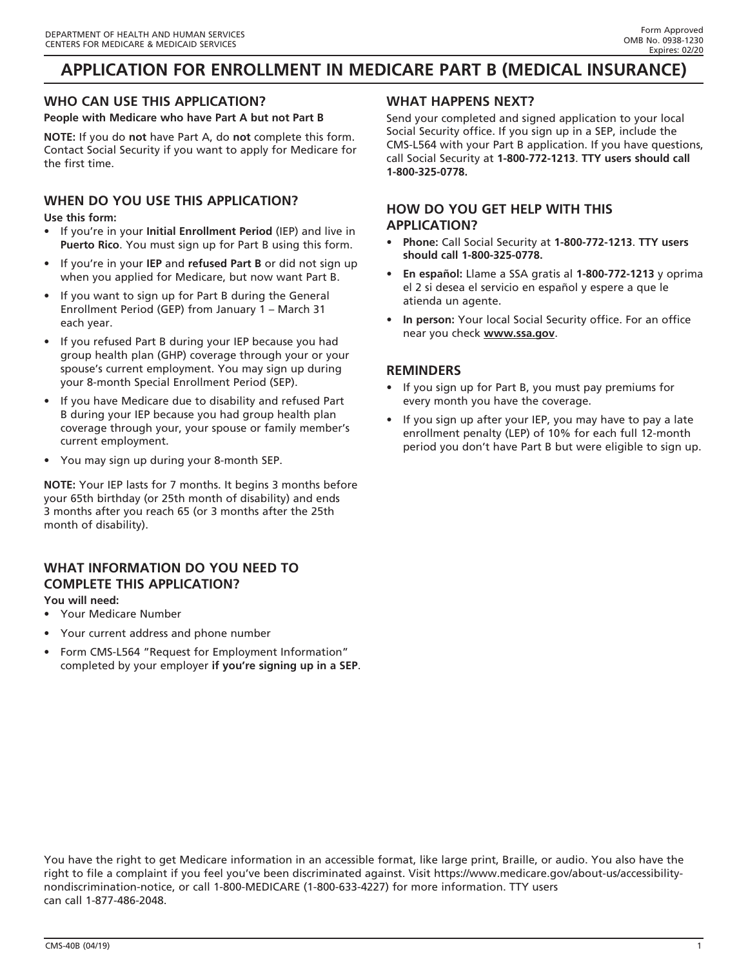# **APPLICATION FOR ENROLLMENT IN MEDICARE PART B (MEDICAL INSURANCE)**

## **WHO CAN USE THIS APPLICATION?**

**People with Medicare who have Part A but not Part B**

**NOTE:** If you do **not** have Part A, do **not** complete this form. Contact Social Security if you want to apply for Medicare for the first time.

## **WHEN DO YOU USE THIS APPLICATION?**

**Use this form:**

- If you're in your **Initial Enrollment Period** (IEP) and live in **Puerto Rico**. You must sign up for Part B using this form.
- If you're in your **IEP** and **refused Part B** or did not sign up when you applied for Medicare, but now want Part B.
- If you want to sign up for Part B during the General Enrollment Period (GEP) from January 1 – March 31 each year.
- If you refused Part B during your IEP because you had group health plan (GHP) coverage through your or your spouse's current employment. You may sign up during your 8-month Special Enrollment Period (SEP).
- If you have Medicare due to disability and refused Part B during your IEP because you had group health plan coverage through your, your spouse or family member's current employment.
- You may sign up during your 8-month SEP.

**NOTE:** Your IEP lasts for 7 months. It begins 3 months before your 65th birthday (or 25th month of disability) and ends 3 months after you reach 65 (or 3 months after the 25th month of disability).

### **WHAT INFORMATION DO YOU NEED TO COMPLETE THIS APPLICATION?**

### **You will need:**

- Your Medicare Number
- Your current address and phone number
- Form CMS-L564 "Request for Employment Information" completed by your employer **if you're signing up in a SEP**.

### **WHAT HAPPENS NEXT?**

Send your completed and signed application to your local Social Security office. If you sign up in a SEP, include the CMS-L564 with your Part B application. If you have questions, call Social Security at **1-800-772-1213**. **TTY users should call 1-800-325-0778.**

### **HOW DO YOU GET HELP WITH THIS APPLICATION?**

- **Phone:** Call Social Security at **1-800-772-1213**. **TTY users should call 1-800-325-0778.**
- **En español:** Llame a SSA gratis al **1-800-772-1213** y oprima el 2 si desea el servicio en español y espere a que le atienda un agente.
- **In person:** Your local Social Security office. For an office near you check **www.ssa.gov**.

### **REMINDERS**

- If you sign up for Part B, you must pay premiums for every month you have the coverage.
- If you sign up after your IEP, you may have to pay a late enrollment penalty (LEP) of 10% for each full 12-month period you don't have Part B but were eligible to sign up.

You have the right to get Medicare information in an accessible format, like large print, Braille, or audio. You also have the right to file a complaint if you feel you've been discriminated against. Visit [https://www.medicare.gov/about-us/accessibility](https://www.medicare.gov/about-us/accessibility-nondiscrimination-notice)[nondiscrimination-notice](https://www.medicare.gov/about-us/accessibility-nondiscrimination-notice), or call 1-800-MEDICARE (1-800-633-4227) for more information. TTY users can call 1-877-486-2048.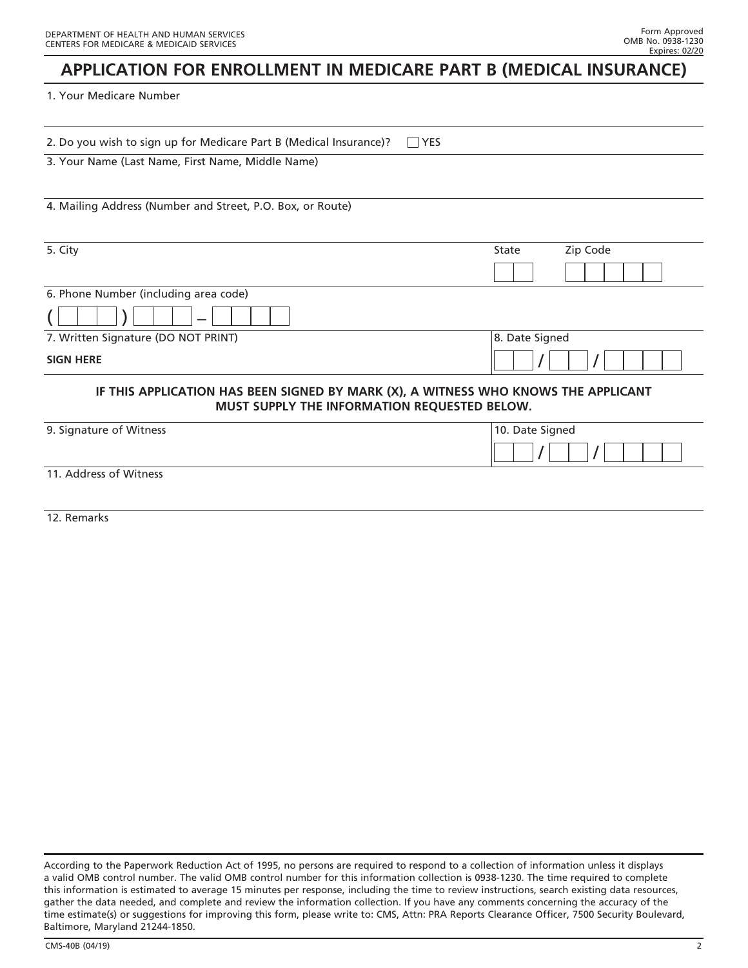## **APPLICATION FOR ENROLLMENT IN MEDICARE PART B (MEDICAL INSURANCE)**

#### 1. Your Medicare Number

| YES<br>2. Do you wish to sign up for Medicare Part B (Medical Insurance)?                                                          |                   |
|------------------------------------------------------------------------------------------------------------------------------------|-------------------|
| 3. Your Name (Last Name, First Name, Middle Name)                                                                                  |                   |
|                                                                                                                                    |                   |
| 4. Mailing Address (Number and Street, P.O. Box, or Route)                                                                         |                   |
|                                                                                                                                    |                   |
| 5. City                                                                                                                            | Zip Code<br>State |
|                                                                                                                                    |                   |
| 6. Phone Number (including area code)                                                                                              |                   |
|                                                                                                                                    |                   |
| 7. Written Signature (DO NOT PRINT)                                                                                                | 8. Date Signed    |
| <b>SIGN HERE</b>                                                                                                                   |                   |
| IF THIS APPLICATION HAS BEEN SIGNED BY MARK (X), A WITNESS WHO KNOWS THE APPLICANT<br>MUST SUPPLY THE INFORMATION REQUESTED BELOW. |                   |
| 9. Signature of Witness                                                                                                            | 10. Date Signed   |
|                                                                                                                                    |                   |
| 11. Address of Witness                                                                                                             |                   |
|                                                                                                                                    |                   |

12. Remarks

According to the Paperwork Reduction Act of 1995, no persons are required to respond to a collection of information unless it displays a valid OMB control number. The valid OMB control number for this information collection is 0938-1230. The time required to complete this information is estimated to average 15 minutes per response, including the time to review instructions, search existing data resources, gather the data needed, and complete and review the information collection. If you have any comments concerning the accuracy of the time estimate(s) or suggestions for improving this form, please write to: CMS, Attn: PRA Reports Clearance Officer, 7500 Security Boulevard, Baltimore, Maryland 21244-1850.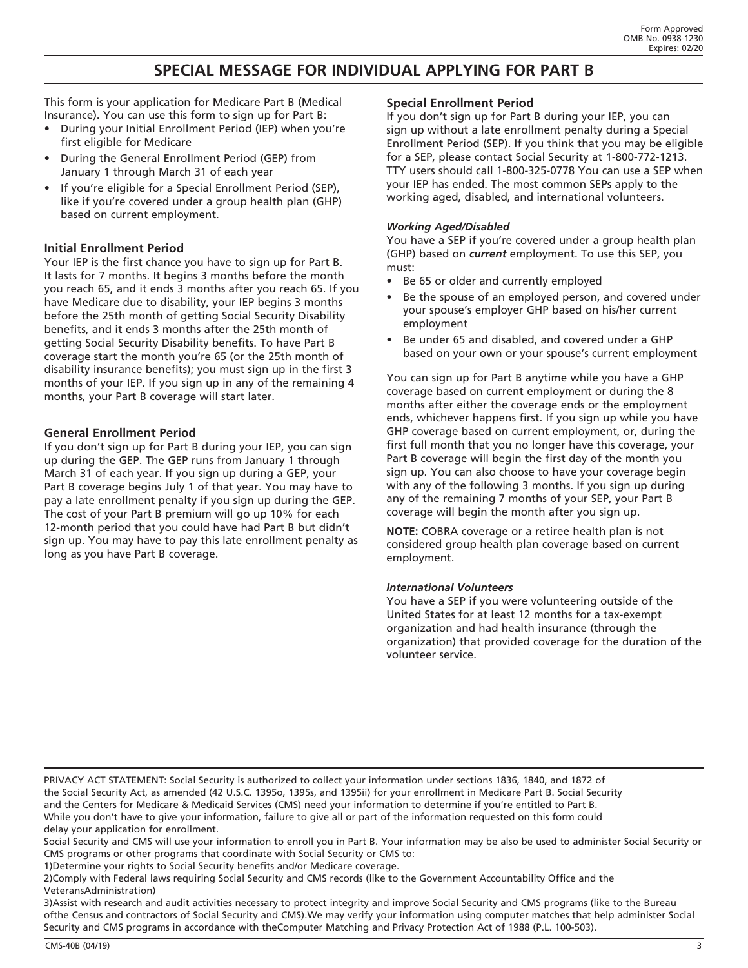## **SPECIAL MESSAGE FOR INDIVIDUAL APPLYING FOR PART B**

This form is your application for Medicare Part B (Medical Insurance). You can use this form to sign up for Part B:

- During your Initial Enrollment Period (IEP) when you're first eligible for Medicare
- During the General Enrollment Period (GEP) from January 1 through March 31 of each year
- If you're eligible for a Special Enrollment Period (SEP), like if you're covered under a group health plan (GHP) based on current employment.

#### **Initial Enrollment Period**

Your IEP is the first chance you have to sign up for Part B. It lasts for 7 months. It begins 3 months before the month you reach 65, and it ends 3 months after you reach 65. If you have Medicare due to disability, your IEP begins 3 months before the 25th month of getting Social Security Disability benefits, and it ends 3 months after the 25th month of getting Social Security Disability benefits. To have Part B coverage start the month you're 65 (or the 25th month of disability insurance benefits); you must sign up in the first 3 months of your IEP. If you sign up in any of the remaining 4 months, your Part B coverage will start later.

#### **General Enrollment Period**

If you don't sign up for Part B during your IEP, you can sign up during the GEP. The GEP runs from January 1 through March 31 of each year. If you sign up during a GEP, your Part B coverage begins July 1 of that year. You may have to pay a late enrollment penalty if you sign up during the GEP. The cost of your Part B premium will go up 10% for each 12-month period that you could have had Part B but didn't sign up. You may have to pay this late enrollment penalty as long as you have Part B coverage.

#### **Special Enrollment Period**

If you don't sign up for Part B during your IEP, you can sign up without a late enrollment penalty during a Special Enrollment Period (SEP). If you think that you may be eligible for a SEP, please contact Social Security at 1-800-772-1213. TTY users should call 1-800-325-0778 You can use a SEP when your IEP has ended. The most common SEPs apply to the working aged, disabled, and international volunteers.

#### *Working Aged/Disabled*

You have a SEP if you're covered under a group health plan (GHP) based on *current* employment. To use this SEP, you must:

- Be 65 or older and currently employed
- Be the spouse of an employed person, and covered under your spouse's employer GHP based on his/her current employment
- Be under 65 and disabled, and covered under a GHP based on your own or your spouse's current employment

You can sign up for Part B anytime while you have a GHP coverage based on current employment or during the 8 months after either the coverage ends or the employment ends, whichever happens first. If you sign up while you have GHP coverage based on current employment, or, during the first full month that you no longer have this coverage, your Part B coverage will begin the first day of the month you sign up. You can also choose to have your coverage begin with any of the following 3 months. If you sign up during any of the remaining 7 months of your SEP, your Part B coverage will begin the month after you sign up.

**NOTE:** COBRA coverage or a retiree health plan is not considered group health plan coverage based on current employment.

#### *International Volunteers*

You have a SEP if you were volunteering outside of the United States for at least 12 months for a tax-exempt organization and had health insurance (through the organization) that provided coverage for the duration of the volunteer service.

PRIVACY ACT STATEMENT: Social Security is authorized to collect your information under sections 1836, 1840, and 1872 of the Social Security Act, as amended (42 U.S.C. 1395o, 1395s, and 1395ii) for your enrollment in Medicare Part B. Social Security and the Centers for Medicare & Medicaid Services (CMS) need your information to determine if you're entitled to Part B. While you don't have to give your information, failure to give all or part of the information requested on this form could delay your application for enrollment.

Social Security and CMS will use your information to enroll you in Part B. Your information may be also be used to administer Social Security or CMS programs or other programs that coordinate with Social Security or CMS to:

1)Determine your rights to Social Security benefits and/or Medicare coverage.

2)Comply with Federal laws requiring Social Security and CMS records (like to the Government Accountability Office and the VeteransAdministration)

3)Assist with research and audit activities necessary to protect integrity and improve Social Security and CMS programs (like to the Bureau ofthe Census and contractors of Social Security and CMS).We may verify your information using computer matches that help administer Social Security and CMS programs in accordance with theComputer Matching and Privacy Protection Act of 1988 (P.L. 100-503).